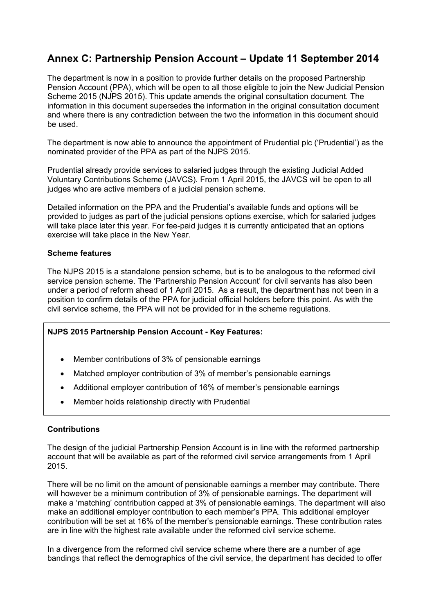# **Annex C: Partnership Pension Account – Update 11 September 2014**

The department is now in a position to provide further details on the proposed Partnership Pension Account (PPA), which will be open to all those eligible to join the New Judicial Pension Scheme 2015 (NJPS 2015). This update amends the original consultation document. The information in this document supersedes the information in the original consultation document and where there is any contradiction between the two the information in this document should be used.

The department is now able to announce the appointment of Prudential plc ('Prudential') as the nominated provider of the PPA as part of the NJPS 2015.

Prudential already provide services to salaried judges through the existing Judicial Added Voluntary Contributions Scheme (JAVCS). From 1 April 2015, the JAVCS will be open to all judges who are active members of a judicial pension scheme.

Detailed information on the PPA and the Prudential's available funds and options will be provided to judges as part of the judicial pensions options exercise, which for salaried judges will take place later this year. For fee-paid judges it is currently anticipated that an options exercise will take place in the New Year.

### **Scheme features**

The NJPS 2015 is a standalone pension scheme, but is to be analogous to the reformed civil service pension scheme. The 'Partnership Pension Account' for civil servants has also been under a period of reform ahead of 1 April 2015. As a result, the department has not been in a position to confirm details of the PPA for judicial official holders before this point. As with the civil service scheme, the PPA will not be provided for in the scheme regulations.

### **NJPS 2015 Partnership Pension Account - Key Features:**

- Member contributions of 3% of pensionable earnings
- Matched employer contribution of 3% of member's pensionable earnings
- Additional employer contribution of 16% of member's pensionable earnings
- Member holds relationship directly with Prudential

### **Contributions**

The design of the judicial Partnership Pension Account is in line with the reformed partnership account that will be available as part of the reformed civil service arrangements from 1 April 2015.

There will be no limit on the amount of pensionable earnings a member may contribute. There will however be a minimum contribution of 3% of pensionable earnings. The department will make a 'matching' contribution capped at 3% of pensionable earnings. The department will also make an additional employer contribution to each member's PPA. This additional employer contribution will be set at 16% of the member's pensionable earnings. These contribution rates are in line with the highest rate available under the reformed civil service scheme.

In a divergence from the reformed civil service scheme where there are a number of age bandings that reflect the demographics of the civil service, the department has decided to offer